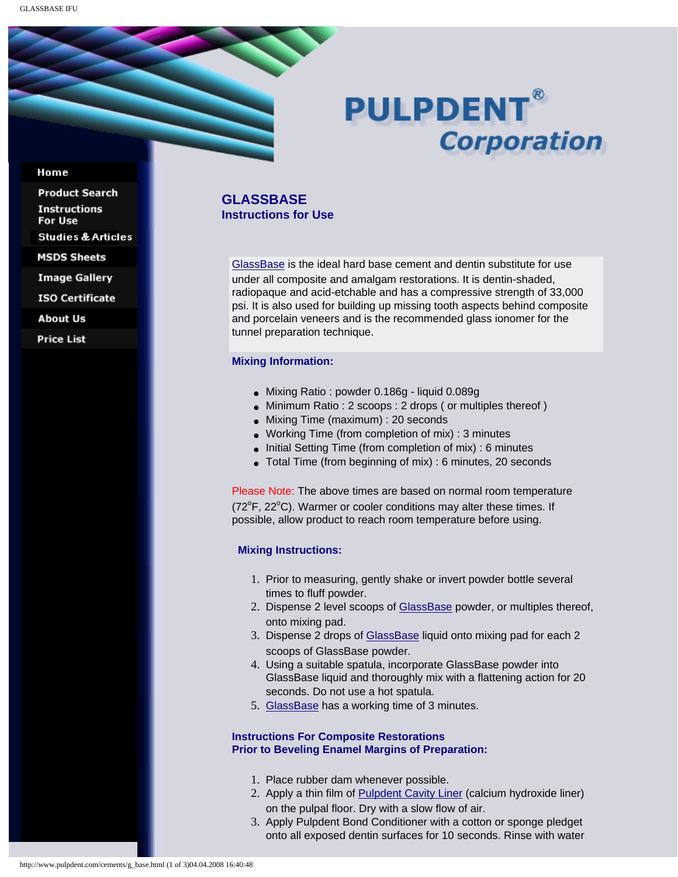# **PULPDENT® Corporation**

#### Home

**Product Search Instructions** For Use **Studies & Articles MSDS Sheets Image Gallery ISO Certificate About Us** 

**Price List** 

## **GLASSBASE Instructions for Use**

[GlassBase](http://www.pulpdent.com/cements/glass_cements.html#base) is the ideal hard base cement and dentin substitute for use under all composite and amalgam restorations. It is dentin-shaded, radiopaque and acid-etchable and has a compressive strength of 33,000 psi. It is also used for building up missing tooth aspects behind composite and porcelain veneers and is the recommended glass ionomer for the tunnel preparation technique.

## **Mixing Information:**

- Mixing Ratio : powder 0.186g liquid 0.089g
- Minimum Ratio : 2 scoops : 2 drops ( or multiples thereof )
- Mixing Time (maximum) : 20 seconds
- Working Time (from completion of mix) : 3 minutes
- Initial Setting Time (from completion of mix) : 6 minutes
- Total Time (from beginning of mix) : 6 minutes, 20 seconds

Please Note: The above times are based on normal room temperature (72°F, 22°C). Warmer or cooler conditions may alter these times. If possible, allow product to reach room temperature before using.

#### **Mixing Instructions:**

- 1. Prior to measuring, gently shake or invert powder bottle several times to fluff powder.
- 2. Dispense 2 level scoops of [GlassBase](http://www.pulpdent.com/cements/glass_cements.html#base) powder, or multiples thereof, onto mixing pad.
- 3. Dispense 2 drops of [GlassBase](http://www.pulpdent.com/cements/glass_cements.html#base) liquid onto mixing pad for each 2 scoops of GlassBase powder.
- 4. Using a suitable spatula, incorporate GlassBase powder into GlassBase liquid and thoroughly mix with a flattening action for 20 seconds. Do not use a hot spatula.
- 5. [GlassBase](http://www.pulpdent.com/cements/glass_cements.html#base) has a working time of 3 minutes.

## **Instructions For Composite Restorations Prior to Beveling Enamel Margins of Preparation:**

- 1. Place rubber dam whenever possible.
- 2. Apply a thin film of [Pulpdent Cavity Liner](http://www.pulpdent.com/c_hydro/liner.html) (calcium hydroxide liner) on the pulpal floor. Dry with a slow flow of air.
- 3. Apply Pulpdent Bond Conditioner with a cotton or sponge pledget onto all exposed dentin surfaces for 10 seconds. Rinse with water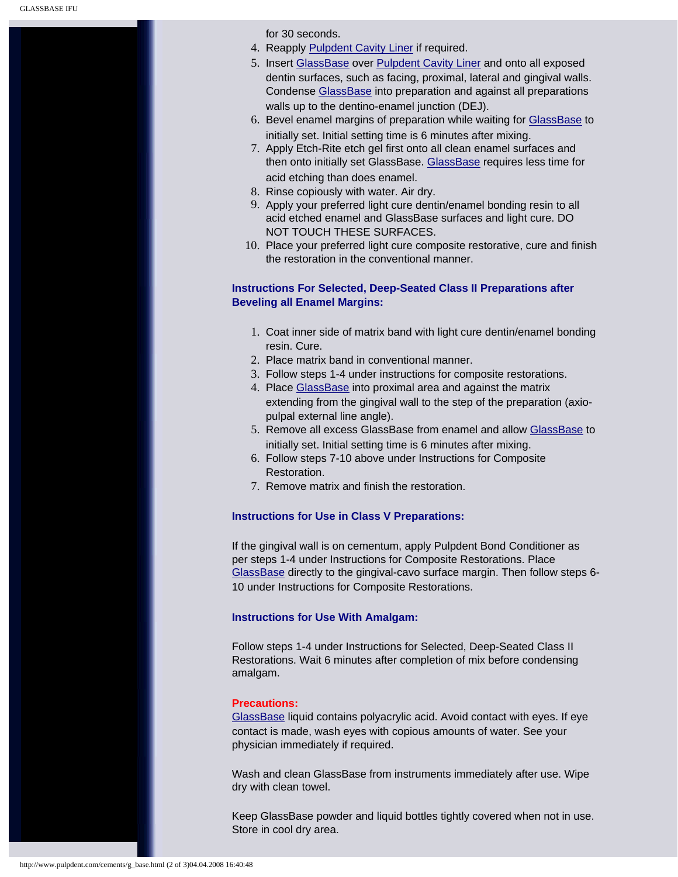for 30 seconds.

- 4. Reapply [Pulpdent Cavity Liner](http://www.pulpdent.com/c_hydro/liner.html) if required.
- 5. Insert [GlassBase](http://www.pulpdent.com/cements/glass_cements.html#base) over [Pulpdent Cavity Liner](http://www.pulpdent.com/c_hydro/liner.html) and onto all exposed dentin surfaces, such as facing, proximal, lateral and gingival walls. Condense [GlassBase](http://www.pulpdent.com/cements/glass_cements.html#base) into preparation and against all preparations walls up to the dentino-enamel junction (DEJ).
- 6. Bevel enamel margins of preparation while waiting for [GlassBase](http://www.pulpdent.com/cements/glass_cements.html#base) to initially set. Initial setting time is 6 minutes after mixing.
- 7. Apply Etch-Rite etch gel first onto all clean enamel surfaces and then onto initially set GlassBase. [GlassBase](http://www.pulpdent.com/cements/glass_cements.html#base) requires less time for acid etching than does enamel.
- 8. Rinse copiously with water. Air dry.
- 9. Apply your preferred light cure dentin/enamel bonding resin to all acid etched enamel and GlassBase surfaces and light cure. DO NOT TOUCH THESE SURFACES.
- 10. Place your preferred light cure composite restorative, cure and finish the restoration in the conventional manner.

## **Instructions For Selected, Deep-Seated Class II Preparations after Beveling all Enamel Margins:**

- 1. Coat inner side of matrix band with light cure dentin/enamel bonding resin. Cure.
- 2. Place matrix band in conventional manner.
- 3. Follow steps 1-4 under instructions for composite restorations.
- 4. Place [GlassBase](http://www.pulpdent.com/cements/glass_cements.html#base) into proximal area and against the matrix extending from the gingival wall to the step of the preparation (axiopulpal external line angle).
- 5. Remove all excess [GlassBase](http://www.pulpdent.com/cements/glass_cements.html#base) from enamel and allow GlassBase to initially set. Initial setting time is 6 minutes after mixing.
- 6. Follow steps 7-10 above under Instructions for Composite **Restoration**
- 7. Remove matrix and finish the restoration.

## **Instructions for Use in Class V Preparations:**

If the gingival wall is on cementum, apply Pulpdent Bond Conditioner as per steps 1-4 under Instructions for Composite Restorations. Place [GlassBase](http://www.pulpdent.com/cements/glass_cements.html#base) directly to the gingival-cavo surface margin. Then follow steps 6- 10 under Instructions for Composite Restorations.

#### **Instructions for Use With Amalgam:**

Follow steps 1-4 under Instructions for Selected, Deep-Seated Class II Restorations. Wait 6 minutes after completion of mix before condensing amalgam.

#### **Precautions:**

[GlassBase](http://www.pulpdent.com/cements/glass_cements.html#base) liquid contains polyacrylic acid. Avoid contact with eyes. If eye contact is made, wash eyes with copious amounts of water. See your physician immediately if required.

Wash and clean GlassBase from instruments immediately after use. Wipe dry with clean towel.

Keep GlassBase powder and liquid bottles tightly covered when not in use. Store in cool dry area.